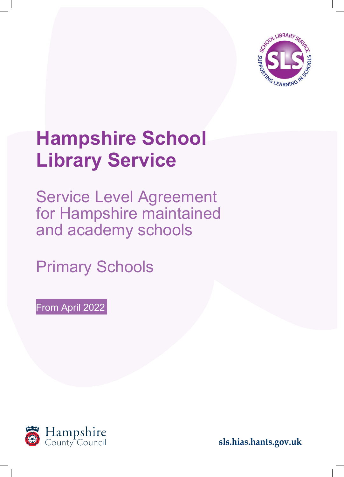

# **Hampshire School Library Service**

Service Level Agreement for Hampshire maintained and academy schools

Primary Schools

From April 2022



**sls.hias.hants.gov.uk**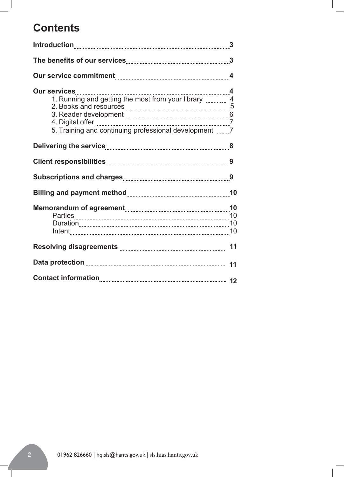# **Contents**

| Our services<br>4<br>1. Running and getting the most from your library 2. Books and resources 5<br>3. Reader development<br>5. Training and continuing professional development ______7 |  |
|-----------------------------------------------------------------------------------------------------------------------------------------------------------------------------------------|--|
|                                                                                                                                                                                         |  |
|                                                                                                                                                                                         |  |
|                                                                                                                                                                                         |  |
|                                                                                                                                                                                         |  |
|                                                                                                                                                                                         |  |
| Resolving disagreements <b>with the contract of the Resolving disagreements</b> with the content discussion of the                                                                      |  |
|                                                                                                                                                                                         |  |
|                                                                                                                                                                                         |  |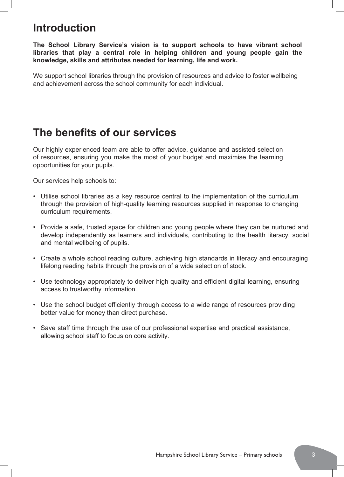# **Introduction**

**The School Library Service's vision is to support schools to have vibrant school libraries that play a central role in helping children and young people gain the knowledge, skills and attributes needed for learning, life and work.**

We support school libraries through the provision of resources and advice to foster wellbeing and achievement across the school community for each individual.

## **The benefits of our services**

Our highly experienced team are able to offer advice, guidance and assisted selection of resources, ensuring you make the most of your budget and maximise the learning opportunities for your pupils.

Our services help schools to:

- Utilise school libraries as a key resource central to the implementation of the curriculum through the provision of high-quality learning resources supplied in response to changing curriculum requirements.
- Provide a safe, trusted space for children and young people where they can be nurtured and develop independently as learners and individuals, contributing to the health literacy, social and mental wellbeing of pupils.
- Create a whole school reading culture, achieving high standards in literacy and encouraging lifelong reading habits through the provision of a wide selection of stock.
- Use technology appropriately to deliver high quality and efficient digital learning, ensuring access to trustworthy information.
- Use the school budget efficiently through access to a wide range of resources providing better value for money than direct purchase.
- Save staff time through the use of our professional expertise and practical assistance, allowing school staff to focus on core activity.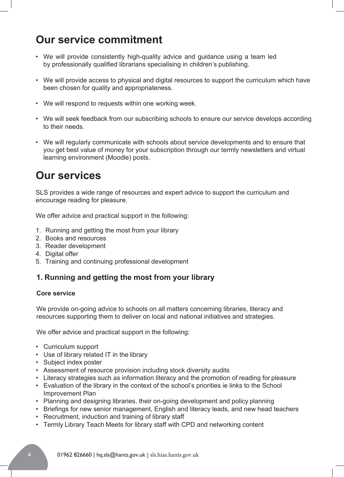# **Our service commitment**

- We will provide consistently high-quality advice and guidance using a team led by professionally qualified librarians specialising in children's publishing.
- We will provide access to physical and digital resources to support the curriculum which have been chosen for quality and appropriateness.
- We will respond to requests within one working week.
- We will seek feedback from our subscribing schools to ensure our service develops according to their needs.
- We will regularly communicate with schools about service developments and to ensure that you get best value of money for your subscription through our termly newsletters and virtual learning environment (Moodle) posts.

# **Our services**

SLS provides a wide range of resources and expert advice to support the curriculum and encourage reading for pleasure.

We offer advice and practical support in the following:

- 1. Running and getting the most from your library
- 2. Books and resources
- 3. Reader development
- 4. Digital offer
- 5. Training and continuing professional development

### **1. Running and getting the most from your library**

#### **Core service**

We provide on-going advice to schools on all matters concerning libraries, literacy and resources supporting them to deliver on local and national initiatives and strategies.

We offer advice and practical support in the following:

- Curriculum support
- Use of library related IT in the library
- Subject index poster
- Assessment of resource provision including stock diversity audits
- Literacy strategies such as information literacy and the promotion of reading for pleasure
- Evaluation of the library in the context of the school's priorities ie links to the School Improvement Plan
- Planning and designing libraries, their on-going development and policy planning
- Briefings for new senior management, English and literacy leads, and new head teachers
- Recruitment, induction and training of library staff
- Termly Library Teach Meets for library staff with CPD and networking content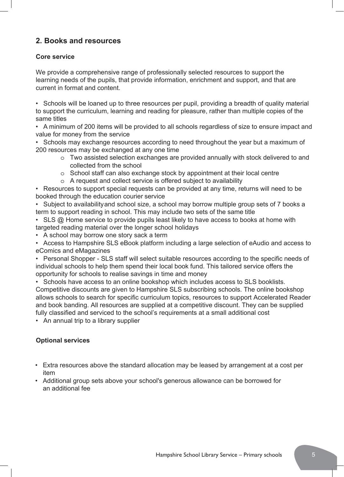### **2. Books and resources**

### **Core service**

We provide a comprehensive range of professionally selected resources to support the learning needs of the pupils, that provide information, enrichment and support, and that are current in format and content.

• Schools will be loaned up to three resources per pupil, providing a breadth of quality material to support the curriculum, learning and reading for pleasure, rather than multiple copies of the same titles

• A minimum of 200 items will be provided to all schools regardless of size to ensure impact and value for money from the service

• Schools may exchange resources according to need throughout the year but a maximum of 200 resources may be exchanged at any one time

- o Two assisted selection exchanges are provided annually with stock delivered to and collected from the school
- o School staff can also exchange stock by appointment at their local centre
- o A request and collect service is offered subject to availability

• Resources to support special requests can be provided at any time, returns will need to be booked through the education courier service

• Subject to availability and school size, a school may borrow multiple group sets of 7 books a term to support reading in school. This may include two sets of the same title

- SLS @ Home service to provide pupils least likely to have access to books at home with targeted reading material over the longer school holidays
- A school may borrow one story sack a term

• Access to Hampshire SLS eBook platform including a large selection of eAudio and access to eComics and eMagazines

• Personal Shopper - SLS staff will select suitable resources according to the specific needs of individual schools to help them spend their local book fund. This tailored service offers the opportunity for schools to realise savings in time and money

• Schools have access to an online bookshop which includes access to SLS booklists. Competitive discounts are given to Hampshire SLS subscribing schools. The online bookshop allows schools to search for specific curriculum topics, resources to support Accelerated Reader and book banding. All resources are supplied at a competitive discount. They can be supplied fully classified and serviced to the school's requirements at a small additional cost

• An annual trip to a library supplier

### **Optional services**

- Extra resources above the standard allocation may be leased by arrangement at a cost per item
- Additional group sets above your school's generous allowance can be borrowed for an additional fee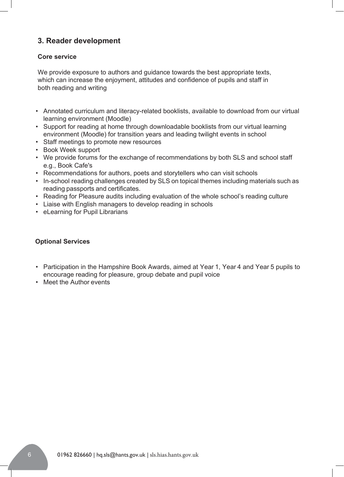### **3. Reader development**

#### **Core service**

We provide exposure to authors and guidance towards the best appropriate texts, which can increase the enjoyment, attitudes and confidence of pupils and staff in both reading and writing

- Annotated curriculum and literacy-related booklists, available to download from our virtual learning environment (Moodle)
- Support for reading at home through downloadable booklists from our virtual learning environment (Moodle) for transition years and leading twilight events in school
- Staff meetings to promote new resources
- Book Week support
- We provide forums for the exchange of recommendations by both SLS and school staff e.g., Book Cafe's
- Recommendations for authors, poets and storytellers who can visit schools
- In-school reading challenges created by SLS on topical themes including materials such as reading passports and certificates.
- Reading for Pleasure audits including evaluation of the whole school's reading culture
- Liaise with English managers to develop reading in schools
- eLearning for Pupil Librarians

### **Optional Services**

- Participation in the Hampshire Book Awards, aimed at Year 1, Year 4 and Year 5 pupils to encourage reading for pleasure, group debate and pupil voice
- Meet the Author events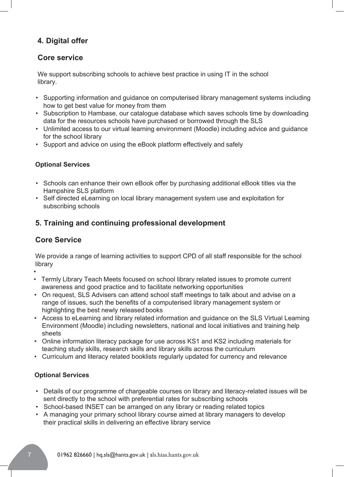### **4. Digital offer**

### **Core service**

We support subscribing schools to achieve best practice in using IT in the school library.

- Supporting information and guidance on computerised library management systems including how to get best value for money from them
- Subscription to Hambase, our catalogue database which saves schools time by downloading data for the resources schools have purchased or borrowed through the SLS
- Unlimited access to our virtual learning environment (Moodle) including advice and guidance for the school library
- Support and advice on using the eBook platform effectively and safely

### **Optional Services**

- Schools can enhance their own eBook offer by purchasing additional eBook titles via the Hampshire SLS platform
- Self directed eLearning on local library management system use and exploitation for subscribing schools

### **5. Training and continuing professional development**

### **Core Service**

We provide a range of learning activities to support CPD of all staff responsible for the school library

•

- Termly Library Teach Meets focused on school library related issues to promote current awareness and good practice and to facilitate networking opportunities
- On request, SLS Advisers can attend school staff meetings to talk about and advise on a range of issues, such the benefits of a computerised library management system or highlighting the best newly released books
- Access to eLearning and library related information and guidance on the SLS Virtual Learning Environment (Moodle) including newsletters, national and local initiatives and training help sheets
- Online information literacy package for use across KS1 and KS2 including materials for teaching study skills, research skills and library skills across the curriculum
- Curriculum and literacy related booklists regularly updated for currency and relevance

### **Optional Services**

- Details of our programme of chargeable courses on library and literacy-related issues will be sent directly to the school with preferential rates for subscribing schools
- School-based INSET can be arranged on any library or reading related topics
- A managing your primary school library course aimed at library managers to develop their practical skills in delivering an effective library service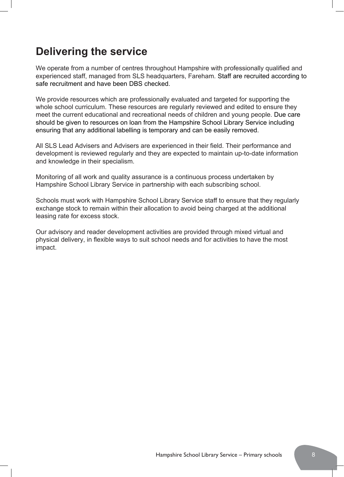# **Delivering the service**

We operate from a number of centres throughout Hampshire with professionally qualified and experienced staff, managed from SLS headquarters, Fareham. Staff are recruited according to safe recruitment and have been DBS checked.

We provide resources which are professionally evaluated and targeted for supporting the whole school curriculum. These resources are regularly reviewed and edited to ensure they meet the current educational and recreational needs of children and young people. Due care should be given to resources on loan from the Hampshire School Library Service including ensuring that any additional labelling is temporary and can be easily removed.

All SLS Lead Advisers and Advisers are experienced in their field. Their performance and development is reviewed regularly and they are expected to maintain up-to-date information and knowledge in their specialism.

Monitoring of all work and quality assurance is a continuous process undertaken by Hampshire School Library Service in partnership with each subscribing school.

Schools must work with Hampshire School Library Service staff to ensure that they regularly exchange stock to remain within their allocation to avoid being charged at the additional leasing rate for excess stock.

Our advisory and reader development activities are provided through mixed virtual and physical delivery, in flexible ways to suit school needs and for activities to have the most impact.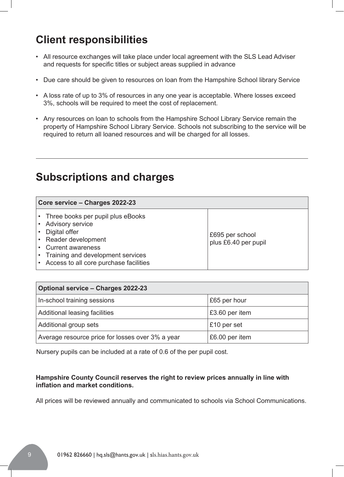# **Client responsibilities**

- All resource exchanges will take place under local agreement with the SLS Lead Adviser and requests for specific titles or subject areas supplied in advance
- Due care should be given to resources on loan from the Hampshire School library Service
- A loss rate of up to 3% of resources in any one year is acceptable. Where losses exceed 3%, schools will be required to meet the cost of replacement.
- Any resources on loan to schools from the Hampshire School Library Service remain the property of Hampshire School Library Service. Schools not subscribing to the service will be required to return all loaned resources and will be charged for all losses.

# **Subscriptions and charges**

| Core service - Charges 2022-23                                                                                                                                                                                    |                                         |
|-------------------------------------------------------------------------------------------------------------------------------------------------------------------------------------------------------------------|-----------------------------------------|
| • Three books per pupil plus eBooks<br><b>Advisory service</b><br>• Digital offer<br>• Reader development<br>• Current awareness<br>• Training and development services<br>Access to all core purchase facilities | £695 per school<br>plus £6.40 per pupil |

| <b>Optional service - Charges 2022-23</b>        |                |  |
|--------------------------------------------------|----------------|--|
| In-school training sessions                      | £65 per hour   |  |
| Additional leasing facilities                    | £3.60 per item |  |
| Additional group sets                            | £10 per set    |  |
| Average resource price for losses over 3% a year | £6.00 per item |  |

Nursery pupils can be included at a rate of 0.6 of the per pupil cost.

#### **Hampshire County Council reserves the right to review prices annually in line with inflation and market conditions.**

All prices will be reviewed annually and communicated to schools via School Communications.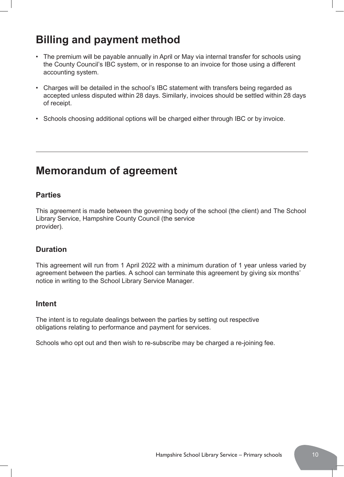# **Billing and payment method**

- The premium will be payable annually in April or May via internal transfer for schools using the County Council's IBC system, or in response to an invoice for those using a different accounting system.
- Charges will be detailed in the school's IBC statement with transfers being regarded as accepted unless disputed within 28 days. Similarly, invoices should be settled within 28 days of receipt.
- Schools choosing additional options will be charged either through IBC or by invoice.

## **Memorandum of agreement**

### **Parties**

This agreement is made between the governing body of the school (the client) and The School Library Service, Hampshire County Council (the service provider).

### **Duration**

This agreement will run from 1 April 2022 with a minimum duration of 1 year unless varied by agreement between the parties. A school can terminate this agreement by giving six months' notice in writing to the School Library Service Manager.

### **Intent**

The intent is to regulate dealings between the parties by setting out respective obligations relating to performance and payment for services.

Schools who opt out and then wish to re-subscribe may be charged a re-joining fee.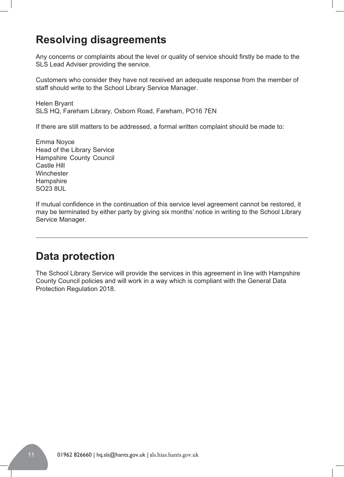# **Resolving disagreements**

Any concerns or complaints about the level or quality of service should firstly be made to the SLS Lead Adviser providing the service.

Customers who consider they have not received an adequate response from the member of staff should write to the School Library Service Manager.

Helen Bryant SLS HQ, Fareham Library, Osborn Road, Fareham, PO16 7EN

If there are still matters to be addressed, a formal written complaint should be made to:

Emma Noyce Head of the Library Service Hampshire County Council Castle Hill **Winchester Hampshire** SO23 8UL

If mutual confidence in the continuation of this service level agreement cannot be restored, it may be terminated by either party by giving six months' notice in writing to the School Library Service Manager.

# **Data protection**

The School Library Service will provide the services in this agreement in line with Hampshire County Council policies and will work in a way which is compliant with the General Data Protection Regulation 2018.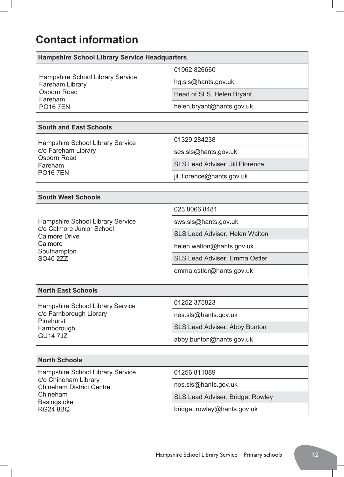# **Contact information**

| <b>Hampshire School Library Service Headquarters</b>                                                                               |                                        |  |
|------------------------------------------------------------------------------------------------------------------------------------|----------------------------------------|--|
| Hampshire School Library Service<br><b>Fareham Library</b><br><b>Osborn Road</b><br>Fareham<br><b>PO167EN</b>                      | 01962 826660                           |  |
|                                                                                                                                    | hq.sls@hants.gov.uk                    |  |
|                                                                                                                                    | Head of SLS, Helen Bryant              |  |
|                                                                                                                                    | helen.bryant@hants.gov.uk              |  |
|                                                                                                                                    |                                        |  |
| <b>South and East Schools</b>                                                                                                      |                                        |  |
| <b>Hampshire School Library Service</b><br>c/o Fareham Library<br><b>Osborn Road</b><br>Fareham<br><b>PO167EN</b>                  | 01329 284238                           |  |
|                                                                                                                                    | ses.sls@hants.gov.uk                   |  |
|                                                                                                                                    | <b>SLS Lead Adviser, Jill Florence</b> |  |
|                                                                                                                                    | jill.florence@hants.gov.uk             |  |
|                                                                                                                                    |                                        |  |
| <b>South West Schools</b>                                                                                                          |                                        |  |
| <b>Hampshire School Library Service</b><br>c/o Calmore Junior School<br><b>Calmore Drive</b><br>Calmore<br>Southampton<br>SO40 2ZZ | 023 8066 8481                          |  |
|                                                                                                                                    | sws.sls@hants.gov.uk                   |  |
|                                                                                                                                    | <b>SLS Lead Adviser, Helen Walton</b>  |  |
|                                                                                                                                    | helen.walton@hants.gov.uk              |  |
|                                                                                                                                    | <b>SLS Lead Adviser, Emma Ostler</b>   |  |
|                                                                                                                                    | emma.ostler@hants.gov.uk               |  |
|                                                                                                                                    |                                        |  |
| <b>North East Schools</b>                                                                                                          |                                        |  |
| <b>Hampshire School Library Service</b><br>c/o Earnhorough Library                                                                 | 01252 375823                           |  |
|                                                                                                                                    | noo ala@hanta aou uk                   |  |

c/o Farnborough Library Pinehurst Farnborough GU14 7JZ [nes.sls@hants.gov.uk](mailto:nes.sls@hants.gov.uk) SLS Lead Adviser, Abby Bunton [abby.bunton@hants.gov.uk](mailto:abby.bunton@hants.gov.uk)

| <b>North Schools</b>                                                                                                                             |                                         |
|--------------------------------------------------------------------------------------------------------------------------------------------------|-----------------------------------------|
| Hampshire School Library Service<br>c/o Chineham Library<br><b>Chineham District Centre</b><br>Chineham<br><b>Basingstoke</b><br><b>RG24 8BQ</b> | 01256 811089                            |
|                                                                                                                                                  | nos.sls@hants.gov.uk                    |
|                                                                                                                                                  | <b>SLS Lead Adviser, Bridget Rowley</b> |
|                                                                                                                                                  | bridget.rowley@hants.gov.uk             |